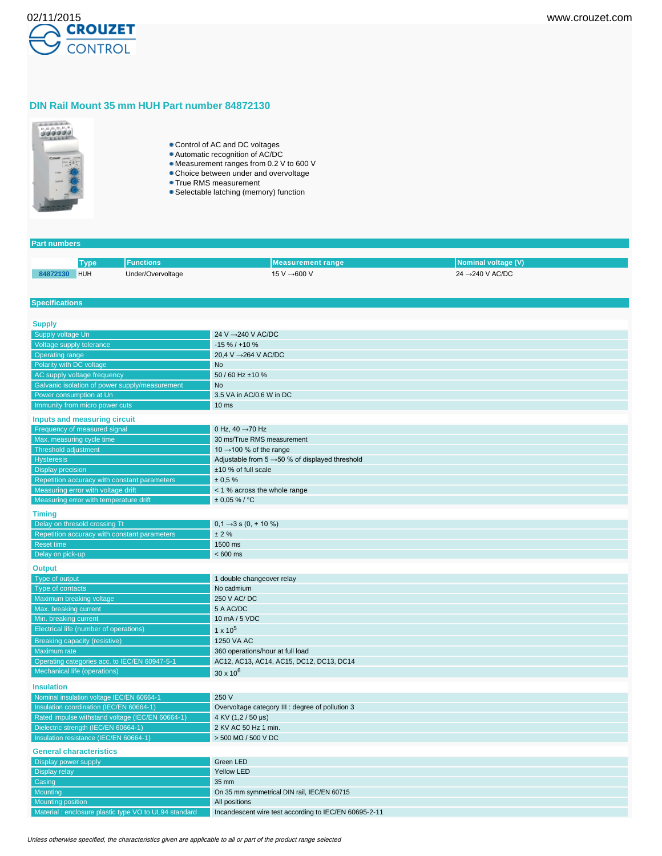

# **DIN Rail Mount 35 mm HUH Part number 84872130**



- Control of AC and DC voltages
- Automatic recognition of AC/DC
- Measurement ranges from 0.2 V to 600 V
- **Choice between under and overvoltage**
- **True RMS measurement**
- Selectable latching (memory) function

# **Part numbers**

**Specifications**

|          | Tvpe | <b>Functions</b> ' | l Measurement range | Nominal voltage (V)          |
|----------|------|--------------------|---------------------|------------------------------|
| 84872130 | HUH  | Under/Overvoltage  | 15 V →600 V         | $24 \rightarrow 240$ V AC/DC |

| <b>Supply</b>                                                                    |                                                                        |
|----------------------------------------------------------------------------------|------------------------------------------------------------------------|
| Supply voltage Un                                                                | 24 V → 240 V AC/DC                                                     |
| Voltage supply tolerance                                                         | $-15\% / +10\%$                                                        |
| <b>Operating range</b>                                                           | 20.4 V → 264 V AC/DC                                                   |
| Polarity with DC voltage                                                         | <b>No</b>                                                              |
| AC supply voltage frequency                                                      | 50 / 60 Hz ±10 %                                                       |
| Galvanic isolation of power supply/measurement                                   | No                                                                     |
| Power consumption at Un                                                          | 3.5 VA in AC/0.6 W in DC                                               |
| Immunity from micro power cuts                                                   | $10$ ms                                                                |
| Inputs and measuring circuit                                                     |                                                                        |
| Frequency of measured signal                                                     | 0 Hz, 40 $\rightarrow$ 70 Hz                                           |
| Max. measuring cycle time                                                        | 30 ms/True RMS measurement                                             |
| <b>Threshold adjustment</b>                                                      | 10 $\rightarrow$ 100 % of the range                                    |
| <b>Hysteresis</b>                                                                | Adjustable from $5 \rightarrow 50$ % of displayed threshold            |
| <b>Display precision</b>                                                         | ±10 % of full scale                                                    |
| Repetition accuracy with constant parameters                                     | ± 0.5%                                                                 |
| Measuring error with voltage drift                                               | < 1 % across the whole range                                           |
| Measuring error with temperature drift                                           | $± 0.05 \%$ / °C                                                       |
| <b>Timing</b>                                                                    |                                                                        |
| Delay on thresold crossing Tt                                                    | $0,1 \rightarrow 3$ s $(0, +10\%)$                                     |
| Repetition accuracy with constant parameters                                     | ± 2%                                                                   |
| <b>Reset time</b>                                                                | 1500 ms                                                                |
| Delay on pick-up                                                                 | $< 600$ ms                                                             |
|                                                                                  |                                                                        |
| <b>Output</b>                                                                    |                                                                        |
| Type of output                                                                   | 1 double changeover relay                                              |
| Type of contacts                                                                 | No cadmium                                                             |
| <b>Maximum breaking voltage</b>                                                  | 250 V AC/DC                                                            |
| Max. breaking current                                                            | 5 A AC/DC                                                              |
| Min. breaking current                                                            |                                                                        |
|                                                                                  | 10 mA / 5 VDC                                                          |
| Electrical life (number of operations)                                           | $1 \times 10^5$                                                        |
| <b>Breaking capacity (resistive)</b>                                             | 1250 VA AC                                                             |
| Maximum rate                                                                     | 360 operations/hour at full load                                       |
| Operating categories acc. to IEC/EN 60947-5-1                                    | AC12, AC13, AC14, AC15, DC12, DC13, DC14                               |
| Mechanical life (operations)                                                     | $30 \times 10^{6}$                                                     |
|                                                                                  |                                                                        |
| <b>Insulation</b>                                                                |                                                                        |
| Nominal insulation voltage IEC/EN 60664-1                                        | 250 V                                                                  |
| Insulation coordination (IEC/EN 60664-1)                                         | Overvoltage category III : degree of pollution 3                       |
| Rated impulse withstand voltage (IEC/EN 60664-1)                                 | 4 KV (1,2 / 50 µs)                                                     |
| Dielectric strength (IEC/EN 60664-1)                                             | 2 KV AC 50 Hz 1 min.                                                   |
| Insulation resistance (IEC/EN 60664-1)                                           | $>$ 500 M $\Omega$ / 500 V DC                                          |
| <b>General characteristics</b>                                                   |                                                                        |
| Display power supply                                                             | Green LED                                                              |
| Display relay                                                                    | <b>Yellow LED</b>                                                      |
| Casing                                                                           | 35 mm                                                                  |
| Mounting                                                                         | On 35 mm symmetrical DIN rail, IEC/EN 60715                            |
| <b>Mounting position</b><br>Material: enclosure plastic type VO to UL94 standard | All positions<br>Incandescent wire test according to IEC/EN 60695-2-11 |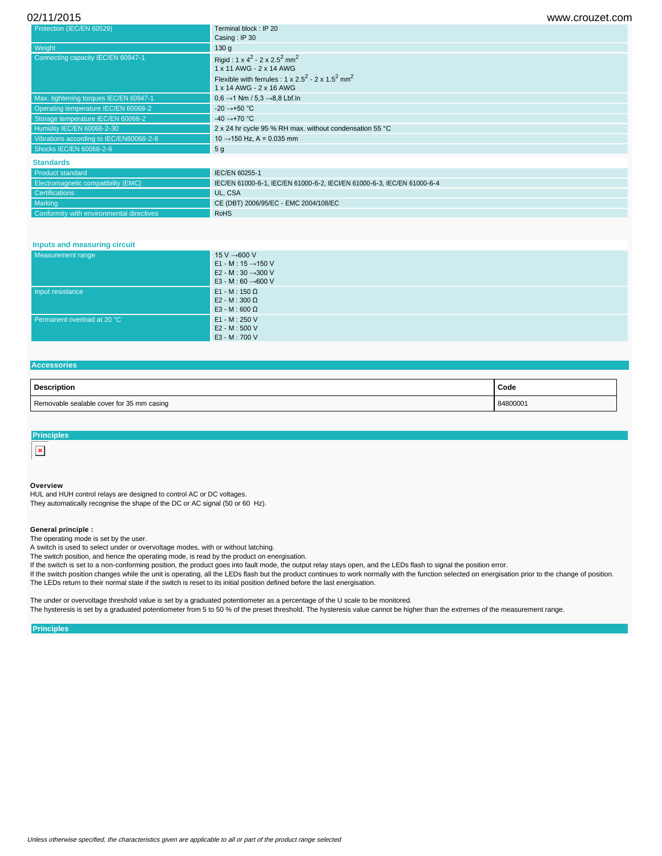| 02/11/2015 | www.crouzet.com |
|------------|-----------------|
|------------|-----------------|

| Protection (IEC/EN 60529)               | Terminal block : IP 20                                                                                |
|-----------------------------------------|-------------------------------------------------------------------------------------------------------|
|                                         | Casing: IP 30                                                                                         |
| Weight                                  | 130q                                                                                                  |
| Connecting capacity IEC/EN 60947-1      | Rigid: $1 \times 4^2 - 2 \times 2.5^2$ mm <sup>2</sup><br>1 x 11 AWG - 2 x 14 AWG                     |
|                                         | Flexible with ferrules : $1 \times 2.5^2 - 2 \times 1.5^2$ mm <sup>2</sup><br>1 x 14 AWG - 2 x 16 AWG |
| Max. tightening torques IEC/EN 60947-1  | $0.6 \rightarrow 1$ Nm / 5.3 $\rightarrow$ 8.8 Lbf.ln                                                 |
| Operating temperature IEC/EN 60068-2    | $-20 \rightarrow +50$ °C                                                                              |
| Storage temperature IEC/EN 60068-2      | $-40 \rightarrow +70$ °C                                                                              |
| Humidity IEC/EN 60068-2-30              | 2 x 24 hr cycle 95 % RH max. without condensation 55 °C                                               |
| Vibrations according to IEC/EN60068-2-6 | $10 \rightarrow 150$ Hz, A = 0.035 mm                                                                 |
| Shocks IEC/EN 60068-2-6                 | 5 <sub>g</sub>                                                                                        |
| <b>Standards</b>                        |                                                                                                       |
| <b>Product standard</b>                 | IEC/EN 60255-1                                                                                        |

Product standard **IEC/EN 60255-1** electromagnetic compatibility (EMC) IEC/EN 61000-6-1, IEC/EN 61000-6-2, IECI/EN 61000-6-3, IEC/EN 61000-6-4 UL, CSA Marking CE (DBT) 2006/95/EC - EMC 2004/108/EC Conformity with environmental directives **RoHS** 

### **Inputs and measuring circuit**

| Measurement range           | 15 V $\rightarrow$ 600 V<br>E1 - M : 15 $\rightarrow$ 150 V<br>E2 - M : 30 $\rightarrow$ 300 V<br>E3 - M : 60 $\rightarrow$ 600 V |
|-----------------------------|-----------------------------------------------------------------------------------------------------------------------------------|
| Input resistance            | $E1 - M : 150 \Omega$<br>E2 - M : 300 $\Omega$<br>E3 - M : 600 $\Omega$                                                           |
| Permanent overload at 20 °C | E1 - M : 250 V<br>E2 - M : 500 V<br>E3 - M : 700 V                                                                                |

## **Accessories**

| Description                               | Code     |
|-------------------------------------------|----------|
| Removable sealable cover for 35 mm casing | 84800001 |

| ncinles                              |  |  |  |
|--------------------------------------|--|--|--|
| $\sim$<br>$\sim$<br>$\sim$<br>$\sim$ |  |  |  |

#### **Overview**

HUL and HUH control relays are designed to control AC or DC voltages. They automatically recognise the shape of the DC or AC signal (50 or 60 Hz).

#### **General principle :**

The operating mode is set by the user.

A switch is used to select under or overvoltage modes, with or without latching.

The switch position, and hence the operating mode, is read by the product on energisation.

If the switch is set to a non-conforming position, the product goes into fault mode, the output relay stays open, and the LEDs flash to signal the position error. If the switch position changes while the unit is operating, all the LEDs flash but the product continues to work normally with the function selected on energisation prior to the change of position.

The LEDs return to their normal state if the switch is reset to its initial position defined before the last energisation.

The under or overvoltage threshold value is set by a graduated potentiometer as a percentage of the U scale to be monitored. The hysteresis is set by a graduated potentiometer from 5 to 50 % of the preset threshold. The hysteresis value cannot be higher than the extremes of the measurement range.

### **Principles**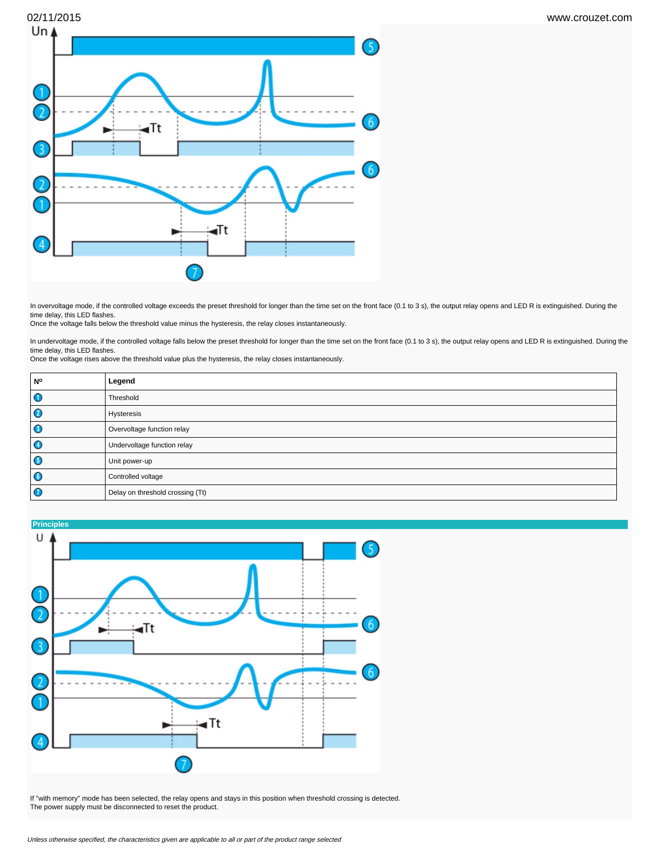

In overvoltage mode, if the controlled voltage exceeds the preset threshold for longer than the time set on the front face (0.1 to 3 s), the output relay opens and LED R is extinguished. During the time delay, this LED flashes.

Once the voltage falls below the threshold value minus the hysteresis, the relay closes instantaneously.

In undervoltage mode, if the controlled voltage falls below the preset threshold for longer than the time set on the front face (0.1 to 3 s), the output relay opens and LED R is extinguished. During the time delay, this LED flashes.

Once the voltage rises above the threshold value plus the hysteresis, the relay closes instantaneously.

| l N°      | Legend                           |
|-----------|----------------------------------|
| $\bullet$ | Threshold                        |
| $\bullet$ | Hysteresis                       |
| $\bullet$ | Overvoltage function relay       |
| $\bullet$ | Undervoltage function relay      |
| $\bullet$ | Unit power-up                    |
| $\bullet$ | Controlled voltage               |
| $\bullet$ | Delay on threshold crossing (Tt) |



If "with memory" mode has been selected, the relay opens and stays in this position when threshold crossing is detected. The power supply must be disconnected to reset the product.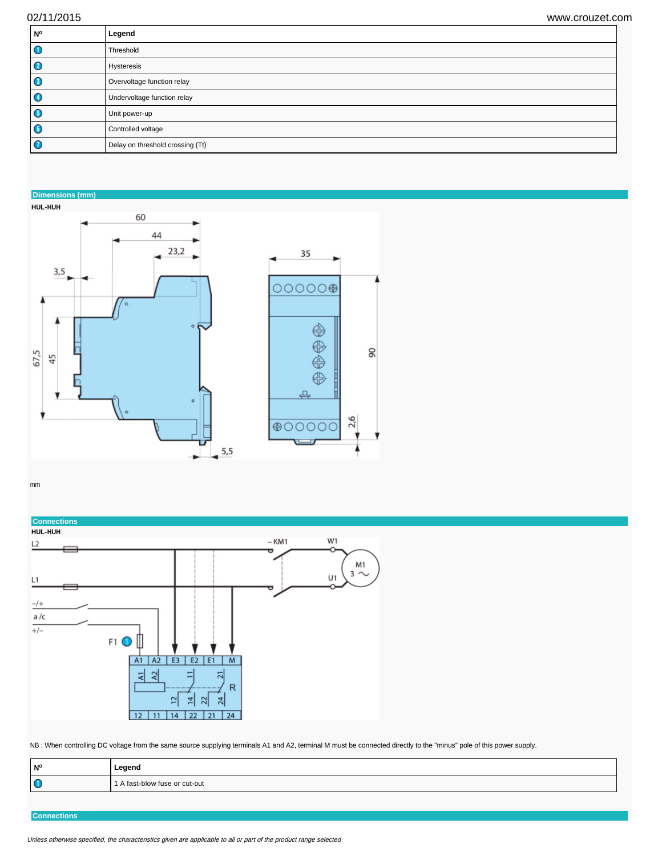| <b>No</b> | Legend                           |
|-----------|----------------------------------|
| $\bullet$ | Threshold                        |
| $\bullet$ | Hysteresis                       |
| O         | Overvoltage function relay       |
| $\bullet$ | Undervoltage function relay      |
| G         | Unit power-up                    |
| $\bullet$ | Controlled voltage               |
| Q         | Delay on threshold crossing (Tt) |

**Dimensions (mm)**





mm



NB : When controlling DC voltage from the same source supplying terminals A1 and A2, terminal M must be connected directly to the "minus" pole of this power supply.

| N°        | Legend                        |
|-----------|-------------------------------|
| $\bullet$ | l A fast-blow fuse or cut-out |
|           |                               |

**Connections**